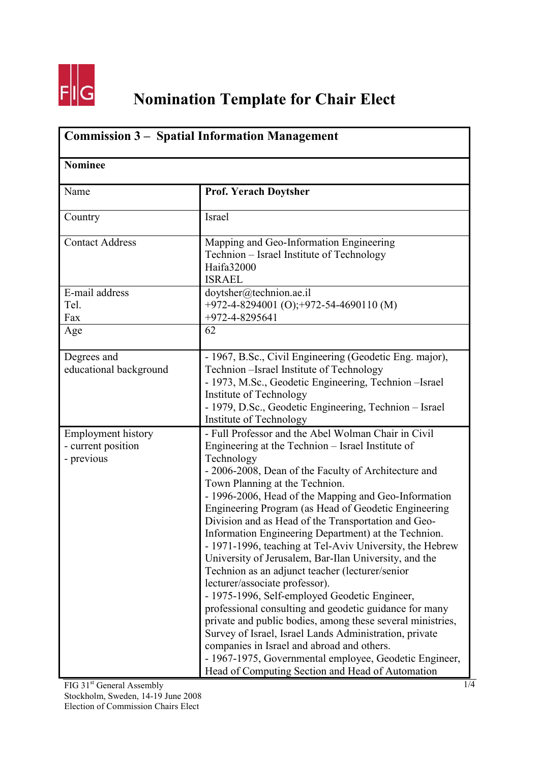

## **Nomination Template for Chair Elect**

| <b>Commission 3 – Spatial Information Management</b><br><b>Nominee</b> |                                                                                                                                                                                                                                                                                                                                                                                                                                                                                                                                                                                                                                                                                                                                                                                                                                                                                                                                                                                                                                                          |  |
|------------------------------------------------------------------------|----------------------------------------------------------------------------------------------------------------------------------------------------------------------------------------------------------------------------------------------------------------------------------------------------------------------------------------------------------------------------------------------------------------------------------------------------------------------------------------------------------------------------------------------------------------------------------------------------------------------------------------------------------------------------------------------------------------------------------------------------------------------------------------------------------------------------------------------------------------------------------------------------------------------------------------------------------------------------------------------------------------------------------------------------------|--|
|                                                                        |                                                                                                                                                                                                                                                                                                                                                                                                                                                                                                                                                                                                                                                                                                                                                                                                                                                                                                                                                                                                                                                          |  |
| Country                                                                | Israel                                                                                                                                                                                                                                                                                                                                                                                                                                                                                                                                                                                                                                                                                                                                                                                                                                                                                                                                                                                                                                                   |  |
| <b>Contact Address</b>                                                 | Mapping and Geo-Information Engineering<br>Technion – Israel Institute of Technology<br>Haifa32000<br><b>ISRAEL</b>                                                                                                                                                                                                                                                                                                                                                                                                                                                                                                                                                                                                                                                                                                                                                                                                                                                                                                                                      |  |
| E-mail address<br>Tel.<br>Fax                                          | doytsher@technion.ae.il<br>+972-4-8294001 (O);+972-54-4690110 (M)<br>+972-4-8295641                                                                                                                                                                                                                                                                                                                                                                                                                                                                                                                                                                                                                                                                                                                                                                                                                                                                                                                                                                      |  |
| Age                                                                    | 62                                                                                                                                                                                                                                                                                                                                                                                                                                                                                                                                                                                                                                                                                                                                                                                                                                                                                                                                                                                                                                                       |  |
| Degrees and<br>educational background                                  | - 1967, B.Sc., Civil Engineering (Geodetic Eng. major),<br>Technion - Israel Institute of Technology<br>- 1973, M.Sc., Geodetic Engineering, Technion - Israel<br>Institute of Technology<br>- 1979, D.Sc., Geodetic Engineering, Technion - Israel<br>Institute of Technology                                                                                                                                                                                                                                                                                                                                                                                                                                                                                                                                                                                                                                                                                                                                                                           |  |
| <b>Employment history</b><br>- current position<br>- previous          | - Full Professor and the Abel Wolman Chair in Civil<br>Engineering at the Technion – Israel Institute of<br>Technology<br>- 2006-2008, Dean of the Faculty of Architecture and<br>Town Planning at the Technion.<br>- 1996-2006, Head of the Mapping and Geo-Information<br>Engineering Program (as Head of Geodetic Engineering<br>Division and as Head of the Transportation and Geo-<br>Information Engineering Department) at the Technion.<br>- 1971-1996, teaching at Tel-Aviv University, the Hebrew<br>University of Jerusalem, Bar-Ilan University, and the<br>Technion as an adjunct teacher (lecturer/senior<br>lecturer/associate professor).<br>- 1975-1996, Self-employed Geodetic Engineer,<br>professional consulting and geodetic guidance for many<br>private and public bodies, among these several ministries,<br>Survey of Israel, Israel Lands Administration, private<br>companies in Israel and abroad and others.<br>- 1967-1975, Governmental employee, Geodetic Engineer,<br>Head of Computing Section and Head of Automation |  |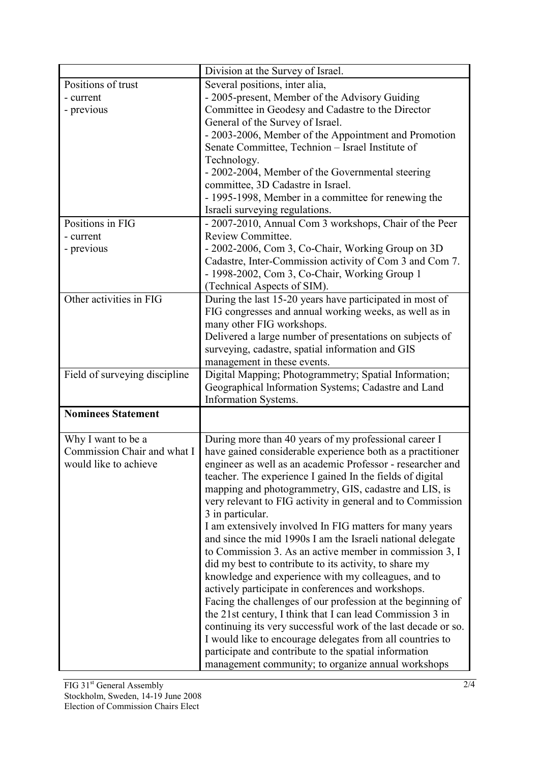|                               | Division at the Survey of Israel.                                                                                                                                                                                                     |
|-------------------------------|---------------------------------------------------------------------------------------------------------------------------------------------------------------------------------------------------------------------------------------|
| Positions of trust            | Several positions, inter alia,                                                                                                                                                                                                        |
| - current                     | - 2005-present, Member of the Advisory Guiding                                                                                                                                                                                        |
| - previous                    | Committee in Geodesy and Cadastre to the Director                                                                                                                                                                                     |
|                               | General of the Survey of Israel.                                                                                                                                                                                                      |
|                               | - 2003-2006, Member of the Appointment and Promotion                                                                                                                                                                                  |
|                               | Senate Committee, Technion - Israel Institute of                                                                                                                                                                                      |
|                               | Technology.                                                                                                                                                                                                                           |
|                               | - 2002-2004, Member of the Governmental steering<br>committee, 3D Cadastre in Israel.                                                                                                                                                 |
|                               | - 1995-1998, Member in a committee for renewing the                                                                                                                                                                                   |
|                               | Israeli surveying regulations.                                                                                                                                                                                                        |
| Positions in FIG              | - 2007-2010, Annual Com 3 workshops, Chair of the Peer                                                                                                                                                                                |
| - current                     | Review Committee.                                                                                                                                                                                                                     |
| - previous                    | - 2002-2006, Com 3, Co-Chair, Working Group on 3D                                                                                                                                                                                     |
|                               | Cadastre, Inter-Commission activity of Com 3 and Com 7.                                                                                                                                                                               |
|                               | - 1998-2002, Com 3, Co-Chair, Working Group 1                                                                                                                                                                                         |
|                               | (Technical Aspects of SIM).                                                                                                                                                                                                           |
| Other activities in FIG       | During the last 15-20 years have participated in most of                                                                                                                                                                              |
|                               | FIG congresses and annual working weeks, as well as in                                                                                                                                                                                |
|                               | many other FIG workshops.                                                                                                                                                                                                             |
|                               | Delivered a large number of presentations on subjects of                                                                                                                                                                              |
|                               | surveying, cadastre, spatial information and GIS                                                                                                                                                                                      |
|                               | management in these events.                                                                                                                                                                                                           |
| Field of surveying discipline | Digital Mapping; Photogrammetry; Spatial Information;                                                                                                                                                                                 |
|                               | Geographical Information Systems; Cadastre and Land                                                                                                                                                                                   |
|                               | <b>Information Systems.</b>                                                                                                                                                                                                           |
| <b>Nominees Statement</b>     |                                                                                                                                                                                                                                       |
| Why I want to be a            | During more than 40 years of my professional career I                                                                                                                                                                                 |
| Commission Chair and what I   | have gained considerable experience both as a practitioner                                                                                                                                                                            |
| would like to achieve         | engineer as well as an academic Professor - researcher and                                                                                                                                                                            |
|                               | teacher. The experience I gained In the fields of digital                                                                                                                                                                             |
|                               | mapping and photogrammetry, GIS, cadastre and LIS, is                                                                                                                                                                                 |
|                               | very relevant to FIG activity in general and to Commission                                                                                                                                                                            |
|                               | 3 in particular.                                                                                                                                                                                                                      |
|                               | I am extensively involved In FIG matters for many years                                                                                                                                                                               |
|                               | and since the mid 1990s I am the Israeli national delegate                                                                                                                                                                            |
|                               | to Commission 3. As an active member in commission 3, I                                                                                                                                                                               |
|                               | did my best to contribute to its activity, to share my                                                                                                                                                                                |
|                               |                                                                                                                                                                                                                                       |
|                               |                                                                                                                                                                                                                                       |
|                               |                                                                                                                                                                                                                                       |
|                               |                                                                                                                                                                                                                                       |
|                               |                                                                                                                                                                                                                                       |
|                               | participate and contribute to the spatial information                                                                                                                                                                                 |
|                               |                                                                                                                                                                                                                                       |
|                               | knowledge and experience with my colleagues, and to<br>actively participate in conferences and workshops.<br>Facing the challenges of our profession at the beginning of<br>the 21st century, I think that I can lead Commission 3 in |
|                               |                                                                                                                                                                                                                                       |
|                               | continuing its very successful work of the last decade or so.<br>I would like to encourage delegates from all countries to                                                                                                            |
|                               |                                                                                                                                                                                                                                       |
|                               |                                                                                                                                                                                                                                       |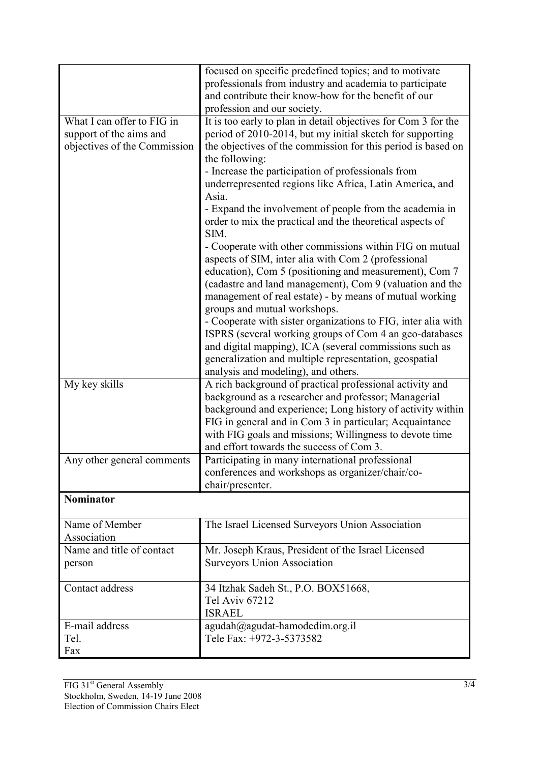|                              | focused on specific predefined topics; and to motivate            |
|------------------------------|-------------------------------------------------------------------|
|                              | professionals from industry and academia to participate           |
|                              | and contribute their know-how for the benefit of our              |
|                              | profession and our society.                                       |
| What I can offer to FIG in   | It is too early to plan in detail objectives for Com 3 for the    |
| support of the aims and      | period of 2010-2014, but my initial sketch for supporting         |
| objectives of the Commission | the objectives of the commission for this period is based on      |
|                              | the following:                                                    |
|                              | - Increase the participation of professionals from                |
|                              | underrepresented regions like Africa, Latin America, and          |
|                              | Asia.                                                             |
|                              | - Expand the involvement of people from the academia in           |
|                              | order to mix the practical and the theoretical aspects of<br>SIM. |
|                              | - Cooperate with other commissions within FIG on mutual           |
|                              | aspects of SIM, inter alia with Com 2 (professional               |
|                              | education), Com 5 (positioning and measurement), Com 7            |
|                              | (cadastre and land management), Com 9 (valuation and the          |
|                              | management of real estate) - by means of mutual working           |
|                              | groups and mutual workshops.                                      |
|                              | - Cooperate with sister organizations to FIG, inter alia with     |
|                              | ISPRS (several working groups of Com 4 an geo-databases           |
|                              | and digital mapping), ICA (several commissions such as            |
|                              | generalization and multiple representation, geospatial            |
|                              | analysis and modeling), and others.                               |
| My key skills                | A rich background of practical professional activity and          |
|                              | background as a researcher and professor; Managerial              |
|                              | background and experience; Long history of activity within        |
|                              | FIG in general and in Com 3 in particular; Acquaintance           |
|                              | with FIG goals and missions; Willingness to devote time           |
|                              | and effort towards the success of Com 3.                          |
| Any other general comments   | Participating in many international professional                  |
|                              | conferences and workshops as organizer/chair/co-                  |
|                              | chair/presenter.                                                  |
| <b>Nominator</b>             |                                                                   |
| Name of Member               | The Israel Licensed Surveyors Union Association                   |
| Association                  |                                                                   |
| Name and title of contact    | Mr. Joseph Kraus, President of the Israel Licensed                |
| person                       | <b>Surveyors Union Association</b>                                |
|                              |                                                                   |
| Contact address              | 34 Itzhak Sadeh St., P.O. BOX51668,                               |
|                              | <b>Tel Aviv 67212</b>                                             |
|                              | <b>ISRAEL</b>                                                     |
| E-mail address               | agudah@agudat-hamodedim.org.il                                    |
| Tel.                         | Tele Fax: +972-3-5373582                                          |
| Fax                          |                                                                   |